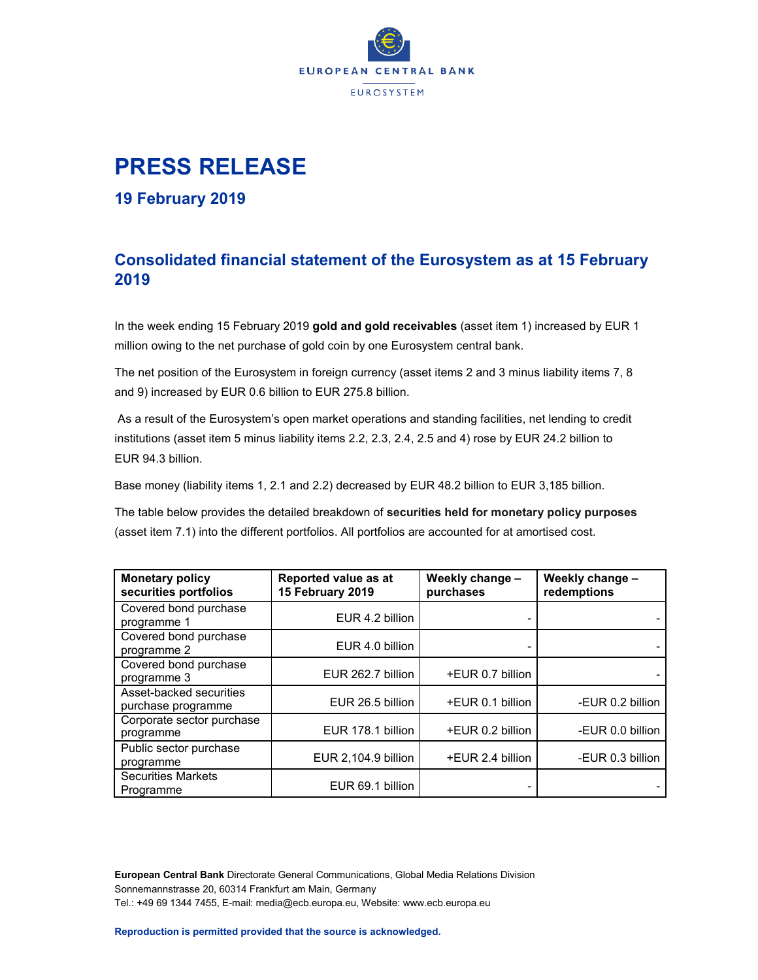

# **PRESS RELEASE**

**19 February 2019**

## **Consolidated financial statement of the Eurosystem as at 15 February 2019**

In the week ending 15 February 2019 **gold and gold receivables** (asset item 1) increased by EUR 1 million owing to the net purchase of gold coin by one Eurosystem central bank.

The net position of the Eurosystem in foreign currency (asset items 2 and 3 minus liability items 7, 8 and 9) increased by EUR 0.6 billion to EUR 275.8 billion.

As a result of the Eurosystem's open market operations and standing facilities, net lending to credit institutions (asset item 5 minus liability items 2.2, 2.3, 2.4, 2.5 and 4) rose by EUR 24.2 billion to EUR 94.3 billion.

Base money (liability items 1, 2.1 and 2.2) decreased by EUR 48.2 billion to EUR 3,185 billion.

The table below provides the detailed breakdown of **securities held for monetary policy purposes** (asset item 7.1) into the different portfolios. All portfolios are accounted for at amortised cost.

| <b>Monetary policy</b><br>securities portfolios | Reported value as at<br>15 February 2019 | Weekly change -<br>purchases | Weekly change -<br>redemptions |
|-------------------------------------------------|------------------------------------------|------------------------------|--------------------------------|
| Covered bond purchase<br>programme 1            | EUR 4.2 billion                          |                              |                                |
| Covered bond purchase<br>programme 2            | EUR 4.0 billion                          |                              |                                |
| Covered bond purchase<br>programme 3            | EUR 262.7 billion                        | +EUR 0.7 billion             |                                |
| Asset-backed securities<br>purchase programme   | EUR 26.5 billion                         | +EUR 0.1 billion             | -EUR 0.2 billion               |
| Corporate sector purchase<br>programme          | EUR 178.1 billion                        | +EUR 0.2 billion             | -EUR 0.0 billion               |
| Public sector purchase<br>programme             | EUR 2,104.9 billion                      | +EUR 2.4 billion             | -EUR 0.3 billion               |
| <b>Securities Markets</b><br>Programme          | EUR 69.1 billion                         |                              |                                |

**European Central Bank** Directorate General Communications, Global Media Relations Division Sonnemannstrasse 20, 60314 Frankfurt am Main, Germany Tel.: +49 69 1344 7455, E-mail[: media@ecb.europa.eu, W](mailto:media@ecb.europa.eu)ebsite[: www.ecb.europa.eu](http://www.ecb.europa.eu/)

**Reproduction is permitted provided that the source is acknowledged.**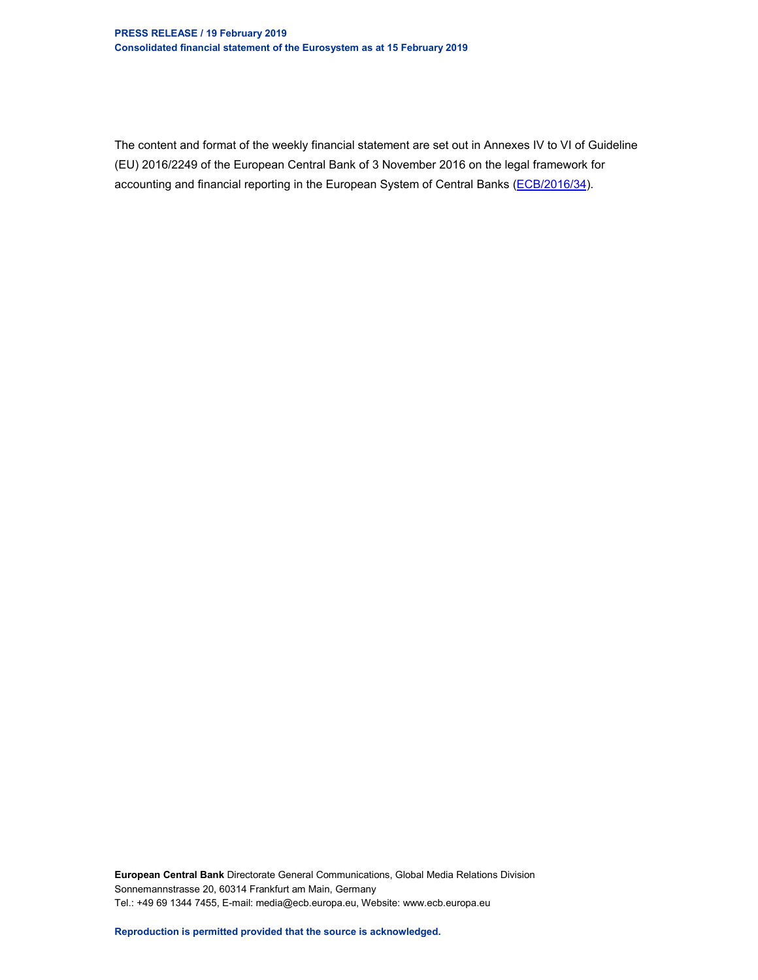### **PRESS RELEASE / 19 February 2019 Consolidated financial statement of the Eurosystem as at 15 February 2019**

The content and format of the weekly financial statement are set out in Annexes IV to VI of Guideline (EU) 2016/2249 of the European Central Bank of 3 November 2016 on the legal framework for accounting and financial reporting in the European System of Central Banks (ECB/2016/34).

**European Central Bank** Directorate General Communications, Global Media Relations Division Sonnemannstrasse 20, 60314 Frankfurt am Main, Germany Tel.: +49 69 1344 7455, E-mail[: media@ecb.europa.eu, W](mailto:media@ecb.europa.eu)ebsite[: www.ecb.europa.eu](http://www.ecb.europa.eu/)